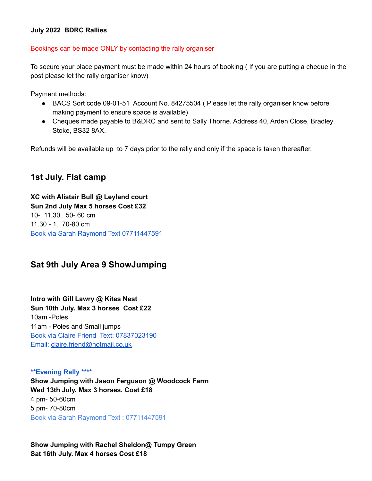### **July 2022 BDRC Rallies**

### Bookings can be made ONLY by contacting the rally organiser

To secure your place payment must be made within 24 hours of booking ( If you are putting a cheque in the post please let the rally organiser know)

Payment methods:

- BACS Sort code 09-01-51 Account No. 84275504 (Please let the rally organiser know before making payment to ensure space is available)
- Cheques made payable to B&DRC and sent to Sally Thorne. Address 40, Arden Close, Bradley Stoke, BS32 8AX.

Refunds will be available up to 7 days prior to the rally and only if the space is taken thereafter.

# **1st July. Flat camp**

**XC with Alistair Bull @ Leyland court Sun 2nd July Max 5 horses Cost £32** 10- 11.30. 50- 60 cm 11.30 - 1. 70-80 cm Book via Sarah Raymond Text 07711447591

## **Sat 9th July Area 9 ShowJumping**

**Intro with Gill Lawry @ Kites Nest Sun 10th July. Max 3 horses Cost £22** 10am -Poles 11am - Poles and Small jumps Book via Claire Friend Text: 07837023190 Email: [claire.friend@hotmail.co.uk](mailto:claire.friend@hotmail.co.uk)

#### **\*\*Evening Rally \*\*\*\***

**Show Jumping with Jason Ferguson @ Woodcock Farm Wed 13th July. Max 3 horses. Cost £18** 4 pm- 50-60cm 5 pm- 70-80cm Book via Sarah Raymond Text : 07711447591

**Show Jumping with Rachel Sheldon@ Tumpy Green Sat 16th July. Max 4 horses Cost £18**